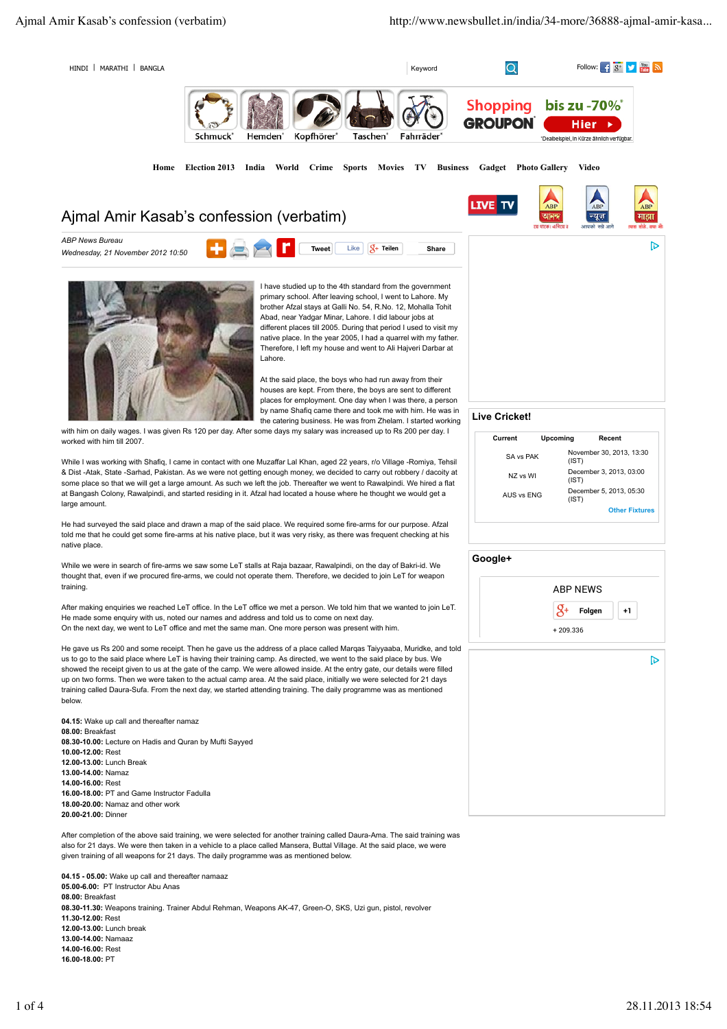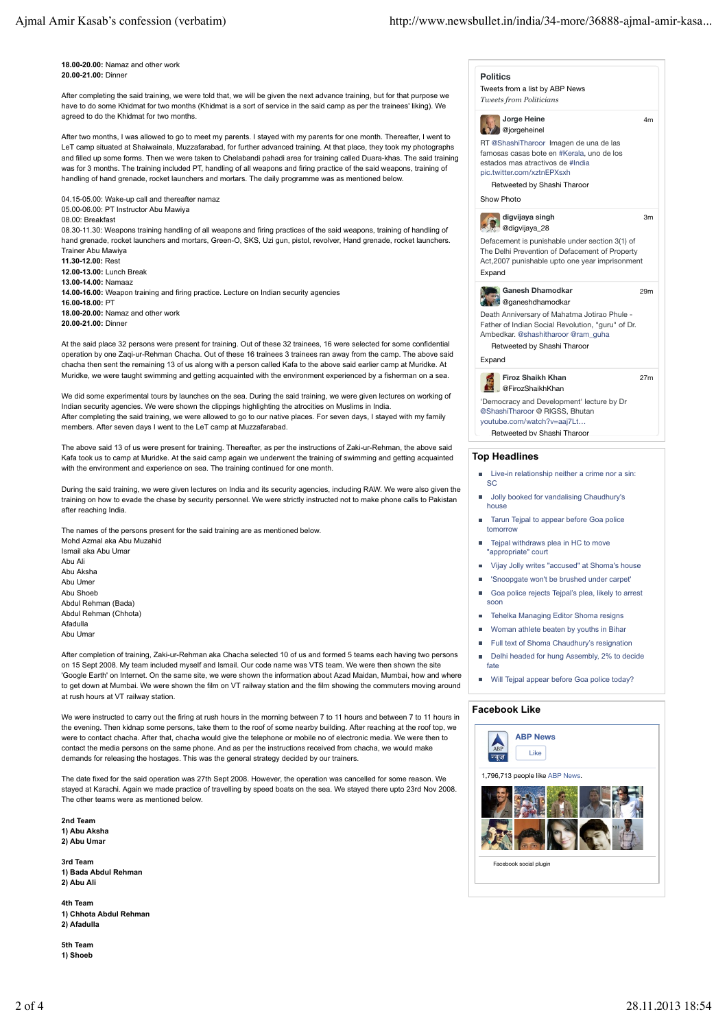**18.00-20.00:** Namaz and other work **20.00-21.00:** Dinner

After completing the said training, we were told that, we will be given the next advance training, but for that purpose we have to do some Khidmat for two months (Khidmat is a sort of service in the said camp as per the trainees' liking). We agreed to do the Khidmat for two months.

After two months, I was allowed to go to meet my parents. I stayed with my parents for one month. Thereafter, I went to LeT camp situated at Shaiwainala, Muzzafarabad, for further advanced training. At that place, they took my photographs and filled up some forms. Then we were taken to Chelabandi pahadi area for training called Duara-khas. The said training was for 3 months. The training included PT, handling of all weapons and firing practice of the said weapons, training of handling of hand grenade, rocket launchers and mortars. The daily programme was as mentioned below.

04.15-05.00: Wake-up call and thereafter namaz 05.00-06.00: PT Instructor Abu Mawiya 08.00: Breakfast 08.30-11.30: Weapons training handling of all weapons and firing practices of the said weapons, training of handling of hand grenade, rocket launchers and mortars, Green-O, SKS, Uzi gun, pistol, revolver, Hand grenade, rocket launchers. Trainer Abu Mawiya **11.30-12.00:** Rest **12.00-13.00:** Lunch Break **13.00-14.00:** Namaaz

**14.00-16.00:** Weapon training and firing practice. Lecture on Indian security agencies **16.00-18.00:** PT

**18.00-20.00:** Namaz and other work

**20.00-21.00:** Dinner

At the said place 32 persons were present for training. Out of these 32 trainees, 16 were selected for some confidential operation by one Zaqi-ur-Rehman Chacha. Out of these 16 trainees 3 trainees ran away from the camp. The above said chacha then sent the remaining 13 of us along with a person called Kafa to the above said earlier camp at Muridke. At Muridke, we were taught swimming and getting acquainted with the environment experienced by a fisherman on a sea.

We did some experimental tours by launches on the sea. During the said training, we were given lectures on working of Indian security agencies. We were shown the clippings highlighting the atrocities on Muslims in India. After completing the said training, we were allowed to go to our native places. For seven days, I stayed with my family members. After seven days I went to the LeT camp at Muzzafarabad.

The above said 13 of us were present for training. Thereafter, as per the instructions of Zaki-ur-Rehman, the above said Kafa took us to camp at Muridke. At the said camp again we underwent the training of swimming and getting acquainted with the environment and experience on sea. The training continued for one month.

During the said training, we were given lectures on India and its security agencies, including RAW. We were also given the training on how to evade the chase by security personnel. We were strictly instructed not to make phone calls to Pakistan after reaching India.

The names of the persons present for the said training are as mentioned below. Mohd Azmal aka Abu Muzahid Ismail aka Abu Umar Abu Ali Abu Aksha Abu Umer Abu Shoeb Abdul Rehman (Bada) Abdul Rehman (Chhota) Afadulla Abu Umar

After completion of training, Zaki-ur-Rehman aka Chacha selected 10 of us and formed 5 teams each having two persons on 15 Sept 2008. My team included myself and Ismail. Our code name was VTS team. We were then shown the site 'Google Earth' on Internet. On the same site, we were shown the information about Azad Maidan, Mumbai, how and where to get down at Mumbai. We were shown the film on VT railway station and the film showing the commuters moving around at rush hours at VT railway station.

We were instructed to carry out the firing at rush hours in the morning between 7 to 11 hours and between 7 to 11 hours in the evening. Then kidnap some persons, take them to the roof of some nearby building. After reaching at the roof top, we were to contact chacha. After that, chacha would give the telephone or mobile no of electronic media. We were then to contact the media persons on the same phone. And as per the instructions received from chacha, we would make demands for releasing the hostages. This was the general strategy decided by our trainers.

The date fixed for the said operation was 27th Sept 2008. However, the operation was cancelled for some reason. We stayed at Karachi. Again we made practice of travelling by speed boats on the sea. We stayed there upto 23rd Nov 2008. The other teams were as mentioned below.

**2nd Team 1) Abu Aksha 2) Abu Umar**

**3rd Team 1) Bada Abdul Rehman 2) Abu Ali**

**4th Team 1) Chhota Abdul Rehman 2) Afadulla**

**5th Team 1) Shoeb**

| <b>Politics</b><br>Tweets from a list by ABP News                                                                                                                                    |                 |
|--------------------------------------------------------------------------------------------------------------------------------------------------------------------------------------|-----------------|
| Tweets from Politicians                                                                                                                                                              |                 |
| Jorge Heine<br><b>O</b> jorgeheinel                                                                                                                                                  | 4m              |
| RT @ShashiTharoor Imagen de una de las<br>famosas casas bote en #Kerala, uno de los<br>estados mas atractivos de #India<br>pic.twitter.com/xztnEPXsxh<br>Retweeted by Shashi Tharoor |                 |
| Show Photo                                                                                                                                                                           |                 |
| digvijaya singh<br>@digvijaya_28                                                                                                                                                     | 3 <sub>m</sub>  |
| Defacement is punishable under section 3(1) of<br>The Delhi Prevention of Defacement of Property<br>Act, 2007 punishable upto one year imprisonment<br>Expand                        |                 |
| Ganesh Dhamodkar<br>@ganeshdhamodkar                                                                                                                                                 | 29 <sub>m</sub> |
| Death Anniversary of Mahatma Jotirao Phule -<br>Father of Indian Social Revolution, "guru" of Dr.<br>Ambedkar. @shashitharoor @ram quha                                              |                 |
| Retweeted by Shashi Tharoor<br>Expand                                                                                                                                                |                 |
| <b>Firoz Shaikh Khan</b><br>@FirozShaikhKhan                                                                                                                                         | 27 <sub>m</sub> |
| 'Democracy and Development' lecture by Dr<br>@ShashiTharoor @ RIGSS, Bhutan<br>youtube.com/watch?v=aaj7Lt<br>Retweeted by Shashi Tharoor                                             |                 |
| <b>Top Headlines</b>                                                                                                                                                                 |                 |
| Live-in relationship neither a crime nor a sin:<br>SC                                                                                                                                |                 |
| Jolly booked for vandalising Chaudhury's<br>house                                                                                                                                    |                 |
| Tarun Tejpal to appear before Goa police<br>Ш<br>tomorrow                                                                                                                            |                 |
| Teipal withdraws plea in HC to move<br>۰<br>"appropriate" court                                                                                                                      |                 |
| Vijay Jolly writes "accused" at Shoma's house                                                                                                                                        |                 |
| 'Snoopgate won't be brushed under carpet'                                                                                                                                            |                 |

Goa police rejects Tejpal's plea, likely to arrest soon

■ Tehelka Managing Editor Shoma resigns

- Woman athlete beaten by youths in Bihar
- Full text of Shoma Chaudhury's resignation
- Delhi headed for hung Assembly, 2% to decide fate

Will Tejpal appear before Goa police today?

## **Facebook Like**